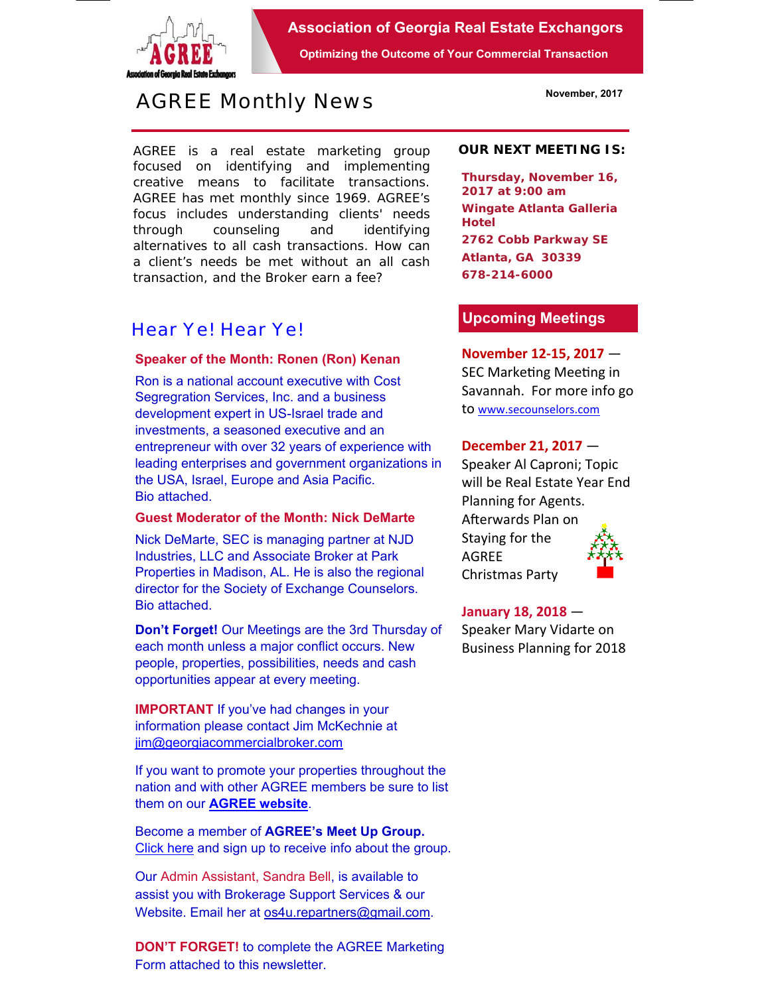

**Association of Georgia Real Estate Exchangors** 

**Optimizing the Outcome of Your Commercial Transaction** 

# *AGREE Monthly News*

AGREE is a real estate marketing group focused on identifying and implementing creative means to facilitate transactions. *AGREE has met monthly since 1969.* AGREE's focus includes understanding clients' needs through counseling and identifying alternatives to all cash transactions. How can a client's needs be met without an all cash transaction, and the Broker earn a fee?

## *Hear Ye! Hear Ye!*

### **Speaker of the Month: Ronen (Ron) Kenan**

Ron is a national account executive with Cost Segregration Services, Inc. and a business development expert in US-Israel trade and investments, a seasoned executive and an entrepreneur with over 32 years of experience with leading enterprises and government organizations in the USA, Israel, Europe and Asia Pacific. Bio attached.

## **Guest Moderator of the Month: Nick DeMarte**

Nick DeMarte, SEC is managing partner at NJD Industries, LLC and Associate Broker at Park Properties in Madison, AL. He is also the regional director for the Society of Exchange Counselors. Bio attached.

**Don't Forget!** Our Meetings are the 3rd Thursday of each month unless a major conflict occurs. New people, properties, possibilities, needs and cash opportunities appear at every meeting.

**IMPORTANT** If you've had changes in your information please contact Jim McKechnie at jim@georgiacommercialbroker.com

If you want to promote your properties throughout the nation and with other AGREE members be sure to list them on our **AGREE website**.

Become a member of **AGREE's Meet Up Group.**  Click here and sign up to receive info about the group.

Our Admin Assistant, Sandra Bell, is available to assist you with Brokerage Support Services & our Website. Email her at os4u.repartners@gmail.com.

**DON'T FORGET!** to complete the AGREE Marketing Form attached to this newsletter.

#### **OUR NEXT MEETING IS:**

**Thursday, November 16, 2017 at 9:00 am Wingate Atlanta Galleria Hotel 2762 Cobb Parkway SE Atlanta, GA 30339 678-214-6000** 

## **Upcoming Meetings**

## **November 12‐15, 2017** — SEC Marketing Meeting in Savannah. For more info go to www.secounselors.com

## **December 21, 2017** —

Speaker Al Caproni; Topic will be Real Estate Year End Planning for Agents. Afterwards Plan on Staying for the AGREE Christmas Party

## **January 18, 2018** —

Speaker Mary Vidarte on Business Planning for 2018

**November, 2017**